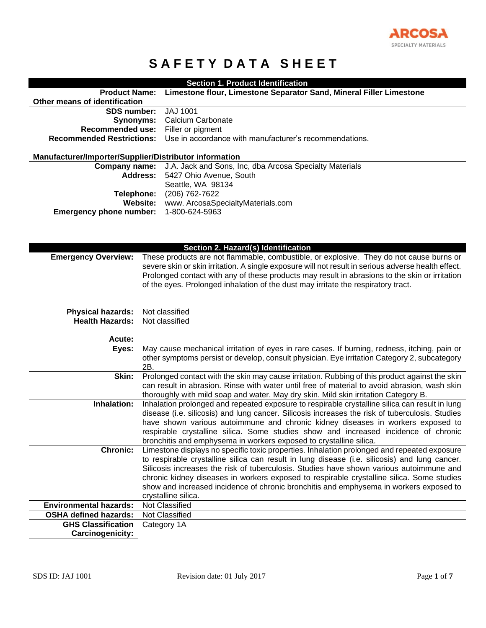

# **SAFETY DATA SHEET**

| Section 1. Product Identification                                                                                     |  |
|-----------------------------------------------------------------------------------------------------------------------|--|
| <b>Product Name:</b><br>Limestone flour, Limestone Separator Sand, Mineral Filler Limestone                           |  |
| Other means of identification                                                                                         |  |
| <b>JAJ 1001</b><br><b>SDS number:</b>                                                                                 |  |
| Synonyms:<br>Calcium Carbonate                                                                                        |  |
| <b>Recommended use:</b><br>Filler or pigment                                                                          |  |
| Use in accordance with manufacturer's recommendations.<br><b>Recommended Restrictions:</b>                            |  |
|                                                                                                                       |  |
| Manufacturer/Importer/Supplier/Distributor information                                                                |  |
| J.A. Jack and Sons, Inc, dba Arcosa Specialty Materials<br>Company name:                                              |  |
| <b>Address:</b><br>5427 Ohio Avenue, South                                                                            |  |
| Seattle, WA 98134<br>(206) 762-7622                                                                                   |  |
| Telephone:<br>Website:<br>www. ArcosaSpecialtyMaterials.com                                                           |  |
| <b>Emergency phone number:</b><br>1-800-624-5963                                                                      |  |
|                                                                                                                       |  |
|                                                                                                                       |  |
|                                                                                                                       |  |
| Section 2. Hazard(s) Identification                                                                                   |  |
| These products are not flammable, combustible, or explosive. They do not cause burns or<br><b>Emergency Overview:</b> |  |
| severe skin or skin irritation. A single exposure will not result in serious adverse health effect.                   |  |
| Prolonged contact with any of these products may result in abrasions to the skin or irritation                        |  |
| of the eyes. Prolonged inhalation of the dust may irritate the respiratory tract.                                     |  |
|                                                                                                                       |  |
| Not classified                                                                                                        |  |
| <b>Physical hazards:</b><br><b>Health Hazards:</b><br>Not classified                                                  |  |
|                                                                                                                       |  |
| Acute:                                                                                                                |  |
| May cause mechanical irritation of eyes in rare cases. If burning, redness, itching, pain or<br>Eyes:                 |  |
| other symptoms persist or develop, consult physician. Eye irritation Category 2, subcategory                          |  |
| 2B.                                                                                                                   |  |
| Prolonged contact with the skin may cause irritation. Rubbing of this product against the skin<br>Skin:               |  |
| can result in abrasion. Rinse with water until free of material to avoid abrasion, wash skin                          |  |
| thoroughly with mild soap and water. May dry skin. Mild skin irritation Category B.                                   |  |
| Inhalation:<br>Inhalation prolonged and repeated exposure to respirable crystalline silica can result in lung         |  |
| disease (i.e. silicosis) and lung cancer. Silicosis increases the risk of tuberculosis. Studies                       |  |
| have shown various autoimmune and chronic kidney diseases in workers exposed to                                       |  |
| respirable crystalline silica. Some studies show and increased incidence of chronic                                   |  |
| bronchitis and emphysema in workers exposed to crystalline silica.                                                    |  |
|                                                                                                                       |  |
| <b>Chronic:</b><br>Limestone displays no specific toxic properties. Inhalation prolonged and repeated exposure        |  |
| to respirable crystalline silica can result in lung disease (i.e. silicosis) and lung cancer.                         |  |
| Silicosis increases the risk of tuberculosis. Studies have shown various autoimmune and                               |  |
| chronic kidney diseases in workers exposed to respirable crystalline silica. Some studies                             |  |
| show and increased incidence of chronic bronchitis and emphysema in workers exposed to                                |  |
| crystalline silica.<br>Not Classified<br><b>Environmental hazards:</b>                                                |  |
| <b>OSHA defined hazards:</b><br>Not Classified                                                                        |  |
| <b>GHS Classification</b><br>Category 1A                                                                              |  |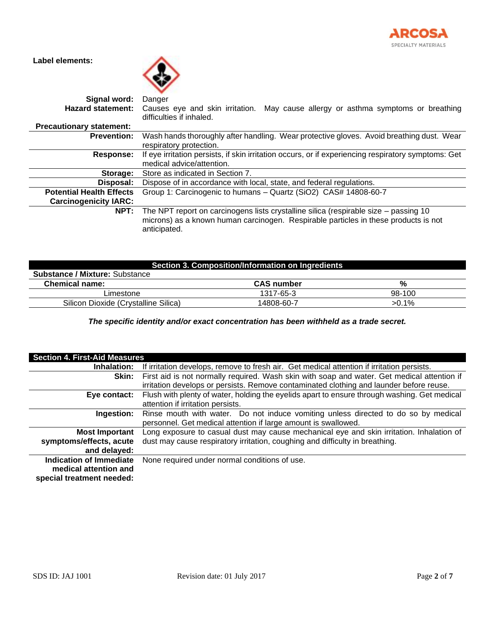

**Label elements:**



| Signal word:                    | Danger                                                                                                                                                                                      |
|---------------------------------|---------------------------------------------------------------------------------------------------------------------------------------------------------------------------------------------|
| <b>Hazard statement:</b>        | Causes eye and skin irritation. May cause allergy or asthma symptoms or breathing<br>difficulties if inhaled.                                                                               |
| <b>Precautionary statement:</b> |                                                                                                                                                                                             |
| <b>Prevention:</b>              | Wash hands thoroughly after handling. Wear protective gloves. Avoid breathing dust. Wear                                                                                                    |
|                                 | respiratory protection.                                                                                                                                                                     |
| Response:                       | If eye irritation persists, if skin irritation occurs, or if experiencing respiratory symptoms: Get                                                                                         |
|                                 | medical advice/attention.                                                                                                                                                                   |
| Storage:                        | Store as indicated in Section 7.                                                                                                                                                            |
| Disposal:                       | Dispose of in accordance with local, state, and federal regulations.                                                                                                                        |
| <b>Potential Health Effects</b> | Group 1: Carcinogenic to humans - Quartz (SiO2) CAS# 14808-60-7                                                                                                                             |
| <b>Carcinogenicity IARC:</b>    |                                                                                                                                                                                             |
| NPT:                            | The NPT report on carcinogens lists crystalline silica (respirable size – passing 10<br>microns) as a known human carcinogen. Respirable particles in these products is not<br>anticipated. |

| Section 3. Composition/Information on Ingredients |                   |        |
|---------------------------------------------------|-------------------|--------|
| <b>Substance / Mixture: Substance</b>             |                   |        |
| <b>Chemical name:</b>                             | <b>CAS number</b> | %      |
| Limestone                                         | 1317-65-3         | 98-100 |
| Silicon Dioxide (Crystalline Silica)              | 14808-60-7        | >0.1%  |

*The specific identity and/or exact concentration has been withheld as a trade secret.*

| <b>Section 4. First-Aid Measures</b> |                                                                                              |
|--------------------------------------|----------------------------------------------------------------------------------------------|
| Inhalation:                          | If irritation develops, remove to fresh air. Get medical attention if irritation persists.   |
| Skin:                                | First aid is not normally required. Wash skin with soap and water. Get medical attention if  |
|                                      | irritation develops or persists. Remove contaminated clothing and launder before reuse.      |
| Eye contact:                         | Flush with plenty of water, holding the eyelids apart to ensure through washing. Get medical |
|                                      | attention if irritation persists.                                                            |
| Ingestion:                           | Rinse mouth with water. Do not induce vomiting unless directed to do so by medical           |
|                                      | personnel. Get medical attention if large amount is swallowed.                               |
| <b>Most Important</b>                | Long exposure to casual dust may cause mechanical eye and skin irritation. Inhalation of     |
| symptoms/effects, acute              | dust may cause respiratory irritation, coughing and difficulty in breathing.                 |
| and delayed:                         |                                                                                              |
| Indication of Immediate              | None required under normal conditions of use.                                                |
| medical attention and                |                                                                                              |
| special treatment needed:            |                                                                                              |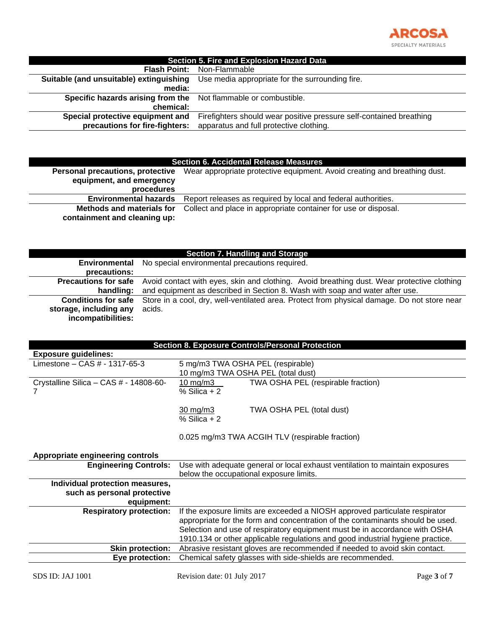

| <b>Section 5. Fire and Explosion Hazard Data</b>                |                                                                     |
|-----------------------------------------------------------------|---------------------------------------------------------------------|
|                                                                 | <b>Flash Point:</b> Non-Flammable                                   |
| Suitable (and unsuitable) extinguishing                         | Use media appropriate for the surrounding fire.                     |
| media:                                                          |                                                                     |
| Specific hazards arising from the Not flammable or combustible. |                                                                     |
| chemical:                                                       |                                                                     |
| Special protective equipment and                                | Firefighters should wear positive pressure self-contained breathing |
| precautions for fire-fighters:                                  | apparatus and full protective clothing.                             |

### **Section 6. Accidental Release Measures**

| Personal precautions, protective<br>equipment, and emergency | Wear appropriate protective equipment. Avoid creating and breathing dust. |
|--------------------------------------------------------------|---------------------------------------------------------------------------|
| procedures                                                   |                                                                           |
| <b>Environmental hazards</b>                                 | Report releases as required by local and federal authorities.             |
| <b>Methods and materials for</b>                             | Collect and place in appropriate container for use or disposal.           |
| containment and cleaning up:                                 |                                                                           |

| <b>Section 7. Handling and Storage</b>       |                                                                                             |  |
|----------------------------------------------|---------------------------------------------------------------------------------------------|--|
|                                              | <b>Environmental</b> No special environmental precautions required.                         |  |
| precautions:                                 |                                                                                             |  |
| <b>Precautions for safe</b>                  | Avoid contact with eyes, skin and clothing. Avoid breathing dust. Wear protective clothing  |  |
| handling:                                    | and equipment as described in Section 8. Wash with soap and water after use.                |  |
| <b>Conditions for safe</b>                   | Store in a cool, dry, well-ventilated area. Protect from physical damage. Do not store near |  |
| storage, including any<br>incompatibilities: | acids.                                                                                      |  |

| <b>Section 8. Exposure Controls/Personal Protection</b> |                                                                                |
|---------------------------------------------------------|--------------------------------------------------------------------------------|
| <b>Exposure guidelines:</b>                             |                                                                                |
| Limestone $-$ CAS $#$ - 1317-65-3                       | 5 mg/m3 TWA OSHA PEL (respirable)                                              |
|                                                         | 10 mg/m3 TWA OSHA PEL (total dust)                                             |
| Crystalline Silica - CAS $# - 14808 - 60 - 60$          | TWA OSHA PEL (respirable fraction)<br>10 mg/m $3$                              |
|                                                         | $%$ Silica + 2                                                                 |
|                                                         |                                                                                |
|                                                         | $30 \text{ mg/m}$<br>TWA OSHA PEL (total dust)                                 |
|                                                         | $%$ Silica + 2                                                                 |
|                                                         |                                                                                |
|                                                         | 0.025 mg/m3 TWA ACGIH TLV (respirable fraction)                                |
|                                                         |                                                                                |
| Appropriate engineering controls                        |                                                                                |
| <b>Engineering Controls:</b>                            | Use with adequate general or local exhaust ventilation to maintain exposures   |
|                                                         | below the occupational exposure limits.                                        |
| Individual protection measures,                         |                                                                                |
| such as personal protective                             |                                                                                |
| equipment:                                              |                                                                                |
| <b>Respiratory protection:</b>                          | If the exposure limits are exceeded a NIOSH approved particulate respirator    |
|                                                         | appropriate for the form and concentration of the contaminants should be used. |
|                                                         | Selection and use of respiratory equipment must be in accordance with OSHA     |
|                                                         | 1910.134 or other applicable regulations and good industrial hygiene practice. |
| <b>Skin protection:</b>                                 | Abrasive resistant gloves are recommended if needed to avoid skin contact.     |
| Eye protection:                                         | Chemical safety glasses with side-shields are recommended.                     |
|                                                         |                                                                                |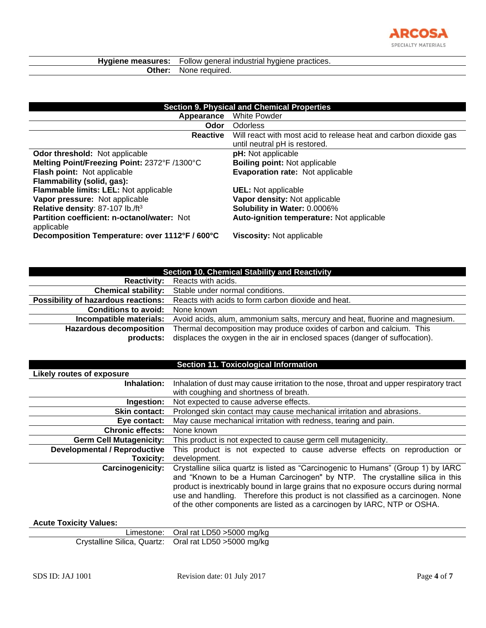

| Hygiene measures: | Follow general industrial hygiene practices. |  |
|-------------------|----------------------------------------------|--|
| Other:            | None required.                               |  |

| <b>Section 9. Physical and Chemical Properties</b>        |                                                                                                   |
|-----------------------------------------------------------|---------------------------------------------------------------------------------------------------|
| Appearance                                                | White Powder                                                                                      |
| Odor                                                      | <b>Odorless</b>                                                                                   |
| Reactive                                                  | Will react with most acid to release heat and carbon dioxide gas<br>until neutral pH is restored. |
| <b>Odor threshold:</b> Not applicable                     | pH: Not applicable                                                                                |
| Melting Point/Freezing Point: 2372°F /1300°C              | <b>Boiling point: Not applicable</b>                                                              |
| Flash point: Not applicable                               | <b>Evaporation rate: Not applicable</b>                                                           |
| Flammability (solid, gas):                                |                                                                                                   |
| Flammable limits: LEL: Not applicable                     | <b>UEL:</b> Not applicable                                                                        |
| Vapor pressure: Not applicable                            | Vapor density: Not applicable                                                                     |
| Relative density: 87-107 lb./ft3                          | Solubility in Water: 0.0006%                                                                      |
| Partition coefficient: n-octanol/water: Not<br>applicable | Auto-ignition temperature: Not applicable                                                         |
| Decomposition Temperature: over 1112°F / 600°C            | <b>Viscosity: Not applicable</b>                                                                  |

| <b>Section 10. Chemical Stability and Reactivity</b> |                                                                                                                                                     |
|------------------------------------------------------|-----------------------------------------------------------------------------------------------------------------------------------------------------|
| <b>Reactivity:</b>                                   | Reacts with acids.                                                                                                                                  |
| <b>Chemical stability:</b>                           | Stable under normal conditions.                                                                                                                     |
| <b>Possibility of hazardous reactions:</b>           | Reacts with acids to form carbon dioxide and heat.                                                                                                  |
| <b>Conditions to avoid:</b>                          | None known                                                                                                                                          |
| Incompatible materials:                              | Avoid acids, alum, ammonium salts, mercury and heat, fluorine and magnesium.                                                                        |
| <b>Hazardous decomposition</b><br>products:          | Thermal decomposition may produce oxides of carbon and calcium. This<br>displaces the oxygen in the air in enclosed spaces (danger of suffocation). |

### **Section 11. Toxicological Information**

| Likely routes of exposure           |                                                                                                                                                                                                                                                                                                                                                                                                                         |  |
|-------------------------------------|-------------------------------------------------------------------------------------------------------------------------------------------------------------------------------------------------------------------------------------------------------------------------------------------------------------------------------------------------------------------------------------------------------------------------|--|
| Inhalation:                         | Inhalation of dust may cause irritation to the nose, throat and upper respiratory tract                                                                                                                                                                                                                                                                                                                                 |  |
|                                     | with coughing and shortness of breath.                                                                                                                                                                                                                                                                                                                                                                                  |  |
| Ingestion:                          | Not expected to cause adverse effects.                                                                                                                                                                                                                                                                                                                                                                                  |  |
| <b>Skin contact:</b>                | Prolonged skin contact may cause mechanical irritation and abrasions.                                                                                                                                                                                                                                                                                                                                                   |  |
| Eye contact:                        | May cause mechanical irritation with redness, tearing and pain.                                                                                                                                                                                                                                                                                                                                                         |  |
| <b>Chronic effects:</b>             | None known                                                                                                                                                                                                                                                                                                                                                                                                              |  |
| <b>Germ Cell Mutagenicity:</b>      | This product is not expected to cause germ cell mutagenicity.                                                                                                                                                                                                                                                                                                                                                           |  |
| <b>Developmental / Reproductive</b> | This product is not expected to cause adverse effects on reproduction or                                                                                                                                                                                                                                                                                                                                                |  |
| Toxicity:                           | development.                                                                                                                                                                                                                                                                                                                                                                                                            |  |
| Carcinogenicity:                    | Crystalline silica quartz is listed as "Carcinogenic to Humans" (Group 1) by IARC<br>and "Known to be a Human Carcinogen" by NTP. The crystalline silica in this<br>product is inextricably bound in large grains that no exposure occurs during normal<br>use and handling. Therefore this product is not classified as a carcinogen. None<br>of the other components are listed as a carcinogen by IARC, NTP or OSHA. |  |

## **Acute Toxicity Values:**

| Limestone: Oral rat LD50 > 5000 mg/kg                  |
|--------------------------------------------------------|
| Crystalline Silica, Quartz: Oral rat LD50 > 5000 mg/kg |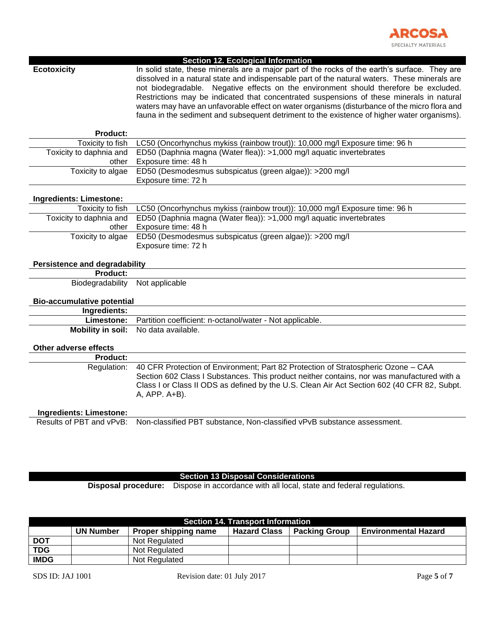

| otoxicit |  |
|----------|--|
|          |  |

**Section 12. Ecological Information**

In solid state, these minerals are a major part of the rocks of the earth's surface. They are dissolved in a natural state and indispensable part of the natural waters. These minerals are not biodegradable. Negative effects on the environment should therefore be excluded. Restrictions may be indicated that concentrated suspensions of these minerals in natural waters may have an unfavorable effect on water organisms (disturbance of the micro flora and fauna in the sediment and subsequent detriment to the existence of higher water organisms).

| <b>Product:</b>                      |                                                                                             |  |
|--------------------------------------|---------------------------------------------------------------------------------------------|--|
| Toxicity to fish                     | LC50 (Oncorhynchus mykiss (rainbow trout)): 10,000 mg/l Exposure time: 96 h                 |  |
| Toxicity to daphnia and              | ED50 (Daphnia magna (Water flea)): >1,000 mg/l aquatic invertebrates                        |  |
| other                                | Exposure time: 48 h                                                                         |  |
| Toxicity to algae                    | ED50 (Desmodesmus subspicatus (green algae)): >200 mg/l                                     |  |
|                                      | Exposure time: 72 h                                                                         |  |
|                                      |                                                                                             |  |
| Ingredients: Limestone:              |                                                                                             |  |
| Toxicity to fish                     | LC50 (Oncorhynchus mykiss (rainbow trout)): 10,000 mg/l Exposure time: 96 h                 |  |
| Toxicity to daphnia and              | ED50 (Daphnia magna (Water flea)): >1,000 mg/l aquatic invertebrates                        |  |
| other                                | Exposure time: 48 h                                                                         |  |
| Toxicity to algae                    | ED50 (Desmodesmus subspicatus (green algae)): >200 mg/l                                     |  |
|                                      | Exposure time: 72 h                                                                         |  |
|                                      |                                                                                             |  |
| <b>Persistence and degradability</b> |                                                                                             |  |
| <b>Product:</b>                      |                                                                                             |  |
| Biodegradability                     | Not applicable                                                                              |  |
| <b>Bio-accumulative potential</b>    |                                                                                             |  |
| Ingredients:                         |                                                                                             |  |
| Limestone:                           | Partition coefficient: n-octanol/water - Not applicable.                                    |  |
| <b>Mobility in soil:</b>             | No data available.                                                                          |  |
|                                      |                                                                                             |  |
| Other adverse effects                |                                                                                             |  |
| Product:                             |                                                                                             |  |
| Regulation:                          | 40 CFR Protection of Environment; Part 82 Protection of Stratospheric Ozone - CAA           |  |
|                                      | Section 602 Class I Substances. This product neither contains, nor was manufactured with a  |  |
|                                      | Class I or Class II ODS as defined by the U.S. Clean Air Act Section 602 (40 CFR 82, Subpt. |  |
|                                      | A, APP. A+B).                                                                               |  |
|                                      |                                                                                             |  |
|                                      |                                                                                             |  |
| <b>Ingredients: Limestone:</b>       |                                                                                             |  |
| Results of PBT and vPvB:             | Non-classified PBT substance, Non-classified vPvB substance assessment.                     |  |
|                                      |                                                                                             |  |

#### **Section 13 Disposal Considerations**

**Disposal procedure:** Dispose in accordance with all local, state and federal regulations.

| <b>Section 14. Transport Information</b> |                  |                      |                     |                      |                             |
|------------------------------------------|------------------|----------------------|---------------------|----------------------|-----------------------------|
|                                          | <b>UN Number</b> | Proper shipping name | <b>Hazard Class</b> | <b>Packing Group</b> | <b>Environmental Hazard</b> |
| <b>DOT</b>                               |                  | Not Regulated        |                     |                      |                             |
| <b>TDG</b>                               |                  | Not Regulated        |                     |                      |                             |
| <b>IMDG</b>                              |                  | Not Regulated        |                     |                      |                             |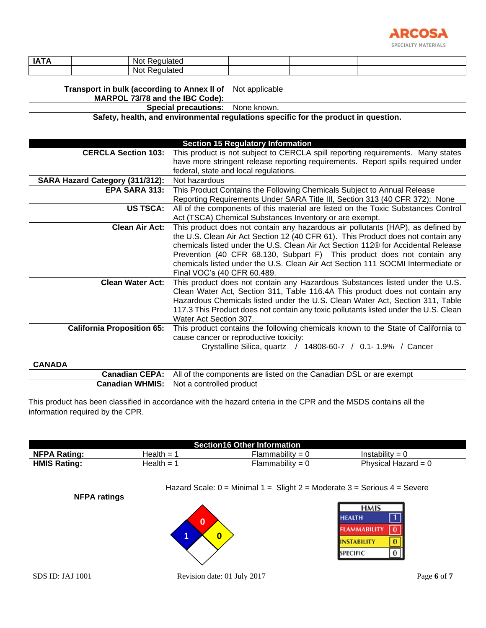

| <b>IATA</b> | :ɑulated<br>. Not<br>-<br>$\cdot$ . $\mathbf{H}$ |  |  |
|-------------|--------------------------------------------------|--|--|
|             | aulatec <sup>.</sup><br>- Not<br>. .             |  |  |

**Transport in bulk (according to Annex II of**  Not applicable

**MARPOL 73/78 and the IBC Code):**

**Special precautions:** None known.

**Safety, health, and environmental regulations specific for the product in question.**

|                                   | <b>Section 15 Regulatory Information</b>                                             |
|-----------------------------------|--------------------------------------------------------------------------------------|
| <b>CERCLA Section 103:</b>        | This product is not subject to CERCLA spill reporting requirements. Many states      |
|                                   | have more stringent release reporting requirements. Report spills required under     |
|                                   | federal, state and local regulations.                                                |
| SARA Hazard Category (311/312):   | Not hazardous                                                                        |
| <b>EPA SARA 313:</b>              | This Product Contains the Following Chemicals Subject to Annual Release              |
|                                   | Reporting Requirements Under SARA Title III, Section 313 (40 CFR 372): None          |
| <b>US TSCA:</b>                   | All of the components of this material are listed on the Toxic Substances Control    |
|                                   | Act (TSCA) Chemical Substances Inventory or are exempt.                              |
| <b>Clean Air Act:</b>             | This product does not contain any hazardous air pollutants (HAP), as defined by      |
|                                   | the U.S. Clean Air Act Section 12 (40 CFR 61). This Product does not contain any     |
|                                   | chemicals listed under the U.S. Clean Air Act Section 112® for Accidental Release    |
|                                   | Prevention (40 CFR 68.130, Subpart F) This product does not contain any              |
|                                   | chemicals listed under the U.S. Clean Air Act Section 111 SOCMI Intermediate or      |
|                                   | Final VOC's (40 CFR 60.489.                                                          |
| <b>Clean Water Act:</b>           | This product does not contain any Hazardous Substances listed under the U.S.         |
|                                   | Clean Water Act, Section 311, Table 116.4A This product does not contain any         |
|                                   | Hazardous Chemicals listed under the U.S. Clean Water Act, Section 311, Table        |
|                                   | 117.3 This Product does not contain any toxic pollutants listed under the U.S. Clean |
|                                   | Water Act Section 307.                                                               |
| <b>California Proposition 65:</b> | This product contains the following chemicals known to the State of California to    |
|                                   | cause cancer or reproductive toxicity:                                               |
|                                   | Crystalline Silica, quartz / 14808-60-7 / 0.1-1.9% / Cancer                          |
| CANADA                            |                                                                                      |

**CANADA**

| <b>Canadian CEPA:</b> All of the components are listed on the Canadian DSL or are exempt |
|------------------------------------------------------------------------------------------|
| <b>Canadian WHMIS:</b> Not a controlled product                                          |

This product has been classified in accordance with the hazard criteria in the CPR and the MSDS contains all the information required by the CPR.

| <b>Section16 Other Information</b> |                        |                                     |                       |
|------------------------------------|------------------------|-------------------------------------|-----------------------|
| <b>NFPA Rating:</b>                | Health = 1             | $\Xi$ lammability = $\zeta$         | Instability = $0$     |
| <b>HMIS Rating:</b>                | Health = $\frac{4}{1}$ | $\blacksquare$ Iammability = $\cup$ | Physical Hazard = $0$ |